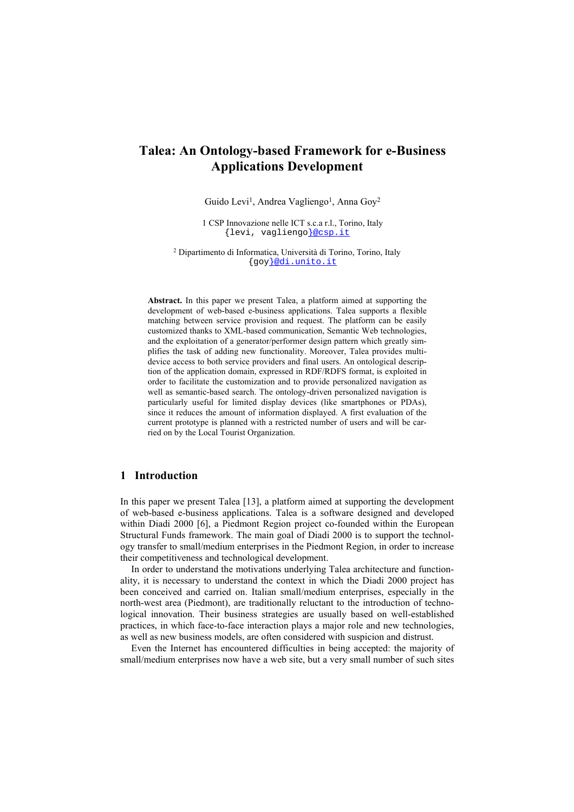# **Talea: An Ontology-based Framework for e-Business Applications Development**

Guido Levi<sup>1</sup>, Andrea Vagliengo<sup>1</sup>, Anna Goy<sup>2</sup>

1 CSP Innovazione nelle ICT s.c.a r.l., Torino, Italy {levi, vagliengo}@csp.it

2 Dipartimento di Informatica, Università di Torino, Torino, Italy {goy}@di.unito.it

**Abstract.** In this paper we present Talea, a platform aimed at supporting the development of web-based e-business applications. Talea supports a flexible matching between service provision and request. The platform can be easily customized thanks to XML-based communication, Semantic Web technologies, and the exploitation of a generator/performer design pattern which greatly simplifies the task of adding new functionality. Moreover, Talea provides multidevice access to both service providers and final users. An ontological description of the application domain, expressed in RDF/RDFS format, is exploited in order to facilitate the customization and to provide personalized navigation as well as semantic-based search. The ontology-driven personalized navigation is particularly useful for limited display devices (like smartphones or PDAs), since it reduces the amount of information displayed. A first evaluation of the current prototype is planned with a restricted number of users and will be carried on by the Local Tourist Organization.

# **1 Introduction**

In this paper we present Talea [13], a platform aimed at supporting the development of web-based e-business applications. Talea is a software designed and developed within Diadi 2000 [6], a Piedmont Region project co-founded within the European Structural Funds framework. The main goal of Diadi 2000 is to support the technology transfer to small/medium enterprises in the Piedmont Region, in order to increase their competitiveness and technological development.

In order to understand the motivations underlying Talea architecture and functionality, it is necessary to understand the context in which the Diadi 2000 project has been conceived and carried on. Italian small/medium enterprises, especially in the north-west area (Piedmont), are traditionally reluctant to the introduction of technological innovation. Their business strategies are usually based on well-established practices, in which face-to-face interaction plays a major role and new technologies, as well as new business models, are often considered with suspicion and distrust.

Even the Internet has encountered difficulties in being accepted: the majority of small/medium enterprises now have a web site, but a very small number of such sites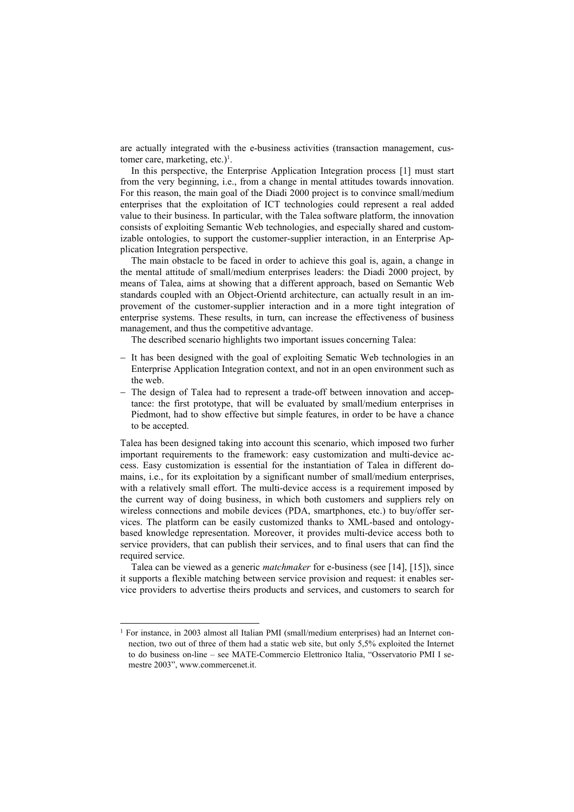are actually integrated with the e-business activities (transaction management, customer care, marketing, etc.)<sup>1</sup>.

In this perspective, the Enterprise Application Integration process [1] must start from the very beginning, i.e., from a change in mental attitudes towards innovation. For this reason, the main goal of the Diadi 2000 project is to convince small/medium enterprises that the exploitation of ICT technologies could represent a real added value to their business. In particular, with the Talea software platform, the innovation consists of exploiting Semantic Web technologies, and especially shared and customizable ontologies, to support the customer-supplier interaction, in an Enterprise Application Integration perspective.

The main obstacle to be faced in order to achieve this goal is, again, a change in the mental attitude of small/medium enterprises leaders: the Diadi 2000 project, by means of Talea, aims at showing that a different approach, based on Semantic Web standards coupled with an Object-Orientd architecture, can actually result in an improvement of the customer-supplier interaction and in a more tight integration of enterprise systems. These results, in turn, can increase the effectiveness of business management, and thus the competitive advantage.

The described scenario highlights two important issues concerning Talea:

- − It has been designed with the goal of exploiting Sematic Web technologies in an Enterprise Application Integration context, and not in an open environment such as the web.
- − The design of Talea had to represent a trade-off between innovation and acceptance: the first prototype, that will be evaluated by small/medium enterprises in Piedmont, had to show effective but simple features, in order to be have a chance to be accepted.

Talea has been designed taking into account this scenario, which imposed two furher important requirements to the framework: easy customization and multi-device access. Easy customization is essential for the instantiation of Talea in different domains, i.e., for its exploitation by a significant number of small/medium enterprises, with a relatively small effort. The multi-device access is a requirement imposed by the current way of doing business, in which both customers and suppliers rely on wireless connections and mobile devices (PDA, smartphones, etc.) to buy/offer services. The platform can be easily customized thanks to XML-based and ontologybased knowledge representation. Moreover, it provides multi-device access both to service providers, that can publish their services, and to final users that can find the required service.

Talea can be viewed as a generic *matchmaker* for e-business (see [14], [15]), since it supports a flexible matching between service provision and request: it enables service providers to advertise theirs products and services, and customers to search for

l

<sup>1</sup> For instance, in 2003 almost all Italian PMI (small/medium enterprises) had an Internet connection, two out of three of them had a static web site, but only 5,5% exploited the Internet to do business on-line – see MATE-Commercio Elettronico Italia, "Osservatorio PMI I semestre 2003", www.commercenet.it.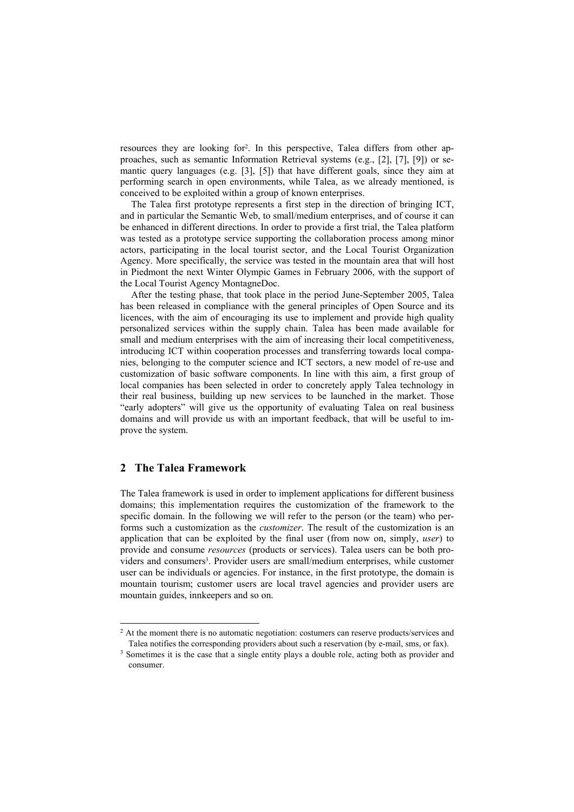resources they are looking for<sup>2</sup>. In this perspective, Talea differs from other approaches, such as semantic Information Retrieval systems (e.g., [2], [7], [9]) or semantic query languages (e.g. [3], [5]) that have different goals, since they aim at performing search in open environments, while Talea, as we already mentioned, is conceived to be exploited within a group of known enterprises.

The Talea first prototype represents a first step in the direction of bringing ICT, and in particular the Semantic Web, to small/medium enterprises, and of course it can be enhanced in different directions. In order to provide a first trial, the Talea platform was tested as a prototype service supporting the collaboration process among minor actors, participating in the local tourist sector, and the Local Tourist Organization Agency. More specifically, the service was tested in the mountain area that will host in Piedmont the next Winter Olympic Games in February 2006, with the support of the Local Tourist Agency MontagneDoc.

After the testing phase, that took place in the period June-September 2005, Talea has been released in compliance with the general principles of Open Source and its licences, with the aim of encouraging its use to implement and provide high quality personalized services within the supply chain. Talea has been made available for small and medium enterprises with the aim of increasing their local competitiveness, introducing ICT within cooperation processes and transferring towards local companies, belonging to the computer science and ICT sectors, a new model of re-use and customization of basic software components. In line with this aim, a first group of local companies has been selected in order to concretely apply Talea technology in their real business, building up new services to be launched in the market. Those "early adopters" will give us the opportunity of evaluating Talea on real business domains and will provide us with an important feedback, that will be useful to improve the system.

# **2 The Talea Framework**

l

The Talea framework is used in order to implement applications for different business domains; this implementation requires the customization of the framework to the specific domain. In the following we will refer to the person (or the team) who performs such a customization as the *customizer*. The result of the customization is an application that can be exploited by the final user (from now on, simply, *user*) to provide and consume *resources* (products or services). Talea users can be both providers and consumers<sup>3</sup>. Provider users are small/medium enterprises, while customer user can be individuals or agencies. For instance, in the first prototype, the domain is mountain tourism; customer users are local travel agencies and provider users are mountain guides, innkeepers and so on.

<sup>&</sup>lt;sup>2</sup> At the moment there is no automatic negotiation: costumers can reserve products/services and Talea notifies the corresponding providers about such a reservation (by e-mail, sms, or fax).<br><sup>3</sup> Sometimes it is the case that a single entity plays a double role, acting both as provider and

consumer.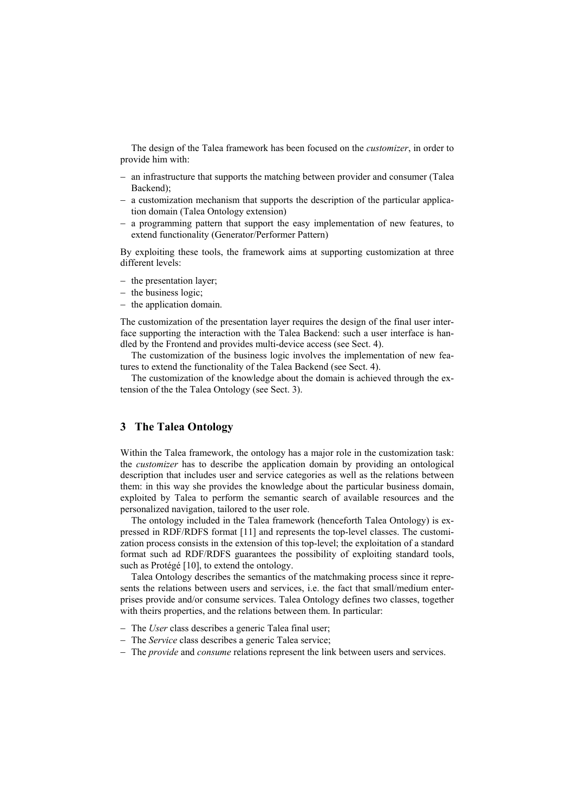The design of the Talea framework has been focused on the *customizer*, in order to provide him with:

- − an infrastructure that supports the matching between provider and consumer (Talea Backend);
- − a customization mechanism that supports the description of the particular application domain (Talea Ontology extension)
- − a programming pattern that support the easy implementation of new features, to extend functionality (Generator/Performer Pattern)

By exploiting these tools, the framework aims at supporting customization at three different levels:

- − the presentation layer;
- − the business logic;
- − the application domain.

The customization of the presentation layer requires the design of the final user interface supporting the interaction with the Talea Backend: such a user interface is handled by the Frontend and provides multi-device access (see Sect. 4).

The customization of the business logic involves the implementation of new features to extend the functionality of the Talea Backend (see Sect. 4).

The customization of the knowledge about the domain is achieved through the extension of the the Talea Ontology (see Sect. 3).

# **3 The Talea Ontology**

Within the Talea framework, the ontology has a major role in the customization task: the *customizer* has to describe the application domain by providing an ontological description that includes user and service categories as well as the relations between them: in this way she provides the knowledge about the particular business domain, exploited by Talea to perform the semantic search of available resources and the personalized navigation, tailored to the user role.

The ontology included in the Talea framework (henceforth Talea Ontology) is expressed in RDF/RDFS format [11] and represents the top-level classes. The customization process consists in the extension of this top-level; the exploitation of a standard format such ad RDF/RDFS guarantees the possibility of exploiting standard tools, such as Protégé [10], to extend the ontology.

Talea Ontology describes the semantics of the matchmaking process since it represents the relations between users and services, i.e. the fact that small/medium enterprises provide and/or consume services. Talea Ontology defines two classes, together with theirs properties, and the relations between them. In particular:

- − The *User* class describes a generic Talea final user;
- − The *Service* class describes a generic Talea service;
- − The *provide* and *consume* relations represent the link between users and services.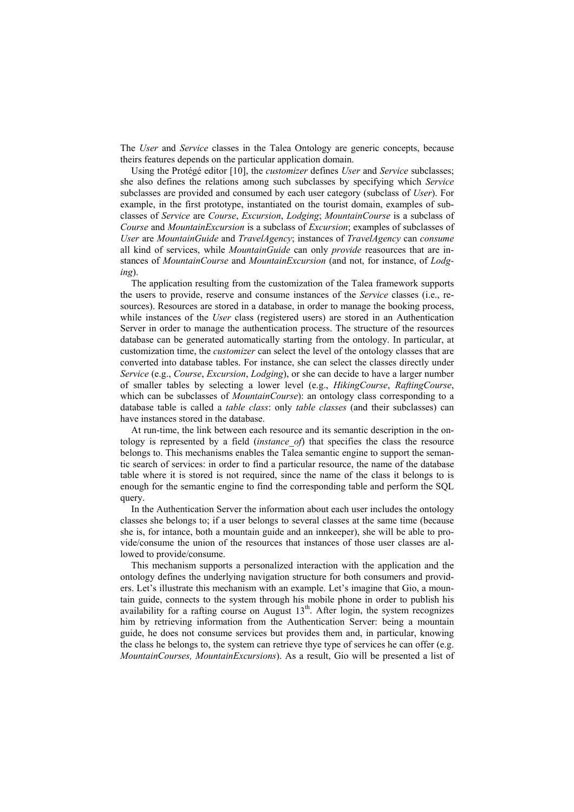The *User* and *Service* classes in the Talea Ontology are generic concepts, because theirs features depends on the particular application domain.

Using the Protégé editor [10], the *customizer* defines *User* and *Service* subclasses; she also defines the relations among such subclasses by specifying which *Service* subclasses are provided and consumed by each user category (subclass of *User*). For example, in the first prototype, instantiated on the tourist domain, examples of subclasses of *Service* are *Course*, *Excursion*, *Lodging*; *MountainCourse* is a subclass of *Course* and *MountainExcursion* is a subclass of *Excursion*; examples of subclasses of *User* are *MountainGuide* and *TravelAgency*; instances of *TravelAgency* can *consume* all kind of services, while *MountainGuide* can only *provide* reasources that are instances of *MountainCourse* and *MountainExcursion* (and not, for instance, of *Lodging*).

The application resulting from the customization of the Talea framework supports the users to provide, reserve and consume instances of the *Service* classes (i.e., resources). Resources are stored in a database, in order to manage the booking process, while instances of the *User* class (registered users) are stored in an Authentication Server in order to manage the authentication process. The structure of the resources database can be generated automatically starting from the ontology. In particular, at customization time, the *customizer* can select the level of the ontology classes that are converted into database tables. For instance, she can select the classes directly under *Service* (e.g., *Course*, *Excursion*, *Lodging*), or she can decide to have a larger number of smaller tables by selecting a lower level (e.g., *HikingCourse*, *RaftingCourse*, which can be subclasses of *MountainCourse*): an ontology class corresponding to a database table is called a *table class*: only *table classes* (and their subclasses) can have instances stored in the database.

At run-time, the link between each resource and its semantic description in the ontology is represented by a field (*instance\_of*) that specifies the class the resource belongs to. This mechanisms enables the Talea semantic engine to support the semantic search of services: in order to find a particular resource, the name of the database table where it is stored is not required, since the name of the class it belongs to is enough for the semantic engine to find the corresponding table and perform the SQL query.

In the Authentication Server the information about each user includes the ontology classes she belongs to; if a user belongs to several classes at the same time (because she is, for intance, both a mountain guide and an innkeeper), she will be able to provide/consume the union of the resources that instances of those user classes are allowed to provide/consume.

This mechanism supports a personalized interaction with the application and the ontology defines the underlying navigation structure for both consumers and providers. Let's illustrate this mechanism with an example. Let's imagine that Gio, a mountain guide, connects to the system through his mobile phone in order to publish his availability for a rafting course on August  $13<sup>th</sup>$ . After login, the system recognizes him by retrieving information from the Authentication Server: being a mountain guide, he does not consume services but provides them and, in particular, knowing the class he belongs to, the system can retrieve thye type of services he can offer (e.g. *MountainCourses, MountainExcursions*). As a result, Gio will be presented a list of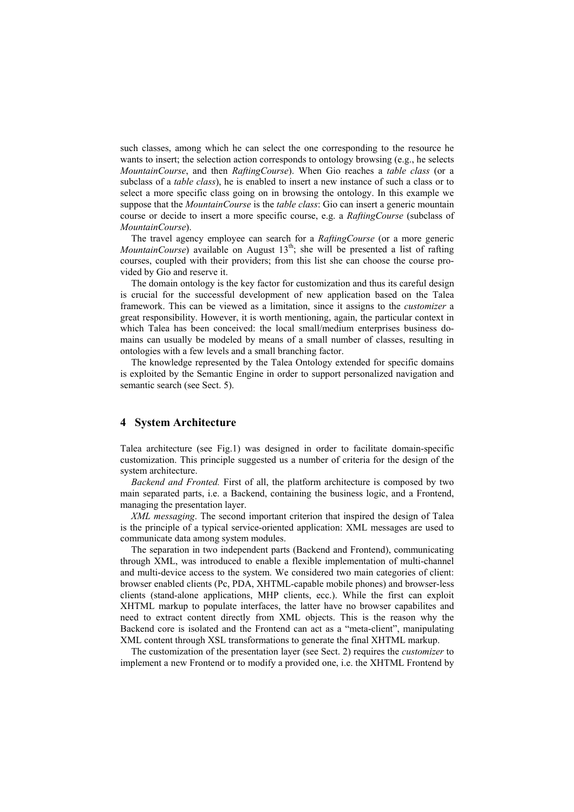such classes, among which he can select the one corresponding to the resource he wants to insert; the selection action corresponds to ontology browsing (e.g., he selects *MountainCourse*, and then *RaftingCourse*). When Gio reaches a *table class* (or a subclass of a *table class*), he is enabled to insert a new instance of such a class or to select a more specific class going on in browsing the ontology. In this example we suppose that the *MountainCourse* is the *table class*: Gio can insert a generic mountain course or decide to insert a more specific course, e.g. a *RaftingCourse* (subclass of *MountainCourse*).

The travel agency employee can search for a *RaftingCourse* (or a more generic *MountainCourse*) available on August 13<sup>th</sup>; she will be presented a list of rafting courses, coupled with their providers; from this list she can choose the course provided by Gio and reserve it.

The domain ontology is the key factor for customization and thus its careful design is crucial for the successful development of new application based on the Talea framework. This can be viewed as a limitation, since it assigns to the *customizer* a great responsibility. However, it is worth mentioning, again, the particular context in which Talea has been conceived: the local small/medium enterprises business domains can usually be modeled by means of a small number of classes, resulting in ontologies with a few levels and a small branching factor.

The knowledge represented by the Talea Ontology extended for specific domains is exploited by the Semantic Engine in order to support personalized navigation and semantic search (see Sect. 5).

# **4 System Architecture**

Talea architecture (see Fig.1) was designed in order to facilitate domain-specific customization. This principle suggested us a number of criteria for the design of the system architecture.

*Backend and Fronted.* First of all, the platform architecture is composed by two main separated parts, i.e. a Backend, containing the business logic, and a Frontend, managing the presentation layer.

*XML messaging*. The second important criterion that inspired the design of Talea is the principle of a typical service-oriented application: XML messages are used to communicate data among system modules.

The separation in two independent parts (Backend and Frontend), communicating through XML, was introduced to enable a flexible implementation of multi-channel and multi-device access to the system. We considered two main categories of client: browser enabled clients (Pc, PDA, XHTML-capable mobile phones) and browser-less clients (stand-alone applications, MHP clients, ecc.). While the first can exploit XHTML markup to populate interfaces, the latter have no browser capabilites and need to extract content directly from XML objects. This is the reason why the Backend core is isolated and the Frontend can act as a "meta-client", manipulating XML content through XSL transformations to generate the final XHTML markup.

The customization of the presentation layer (see Sect. 2) requires the *customizer* to implement a new Frontend or to modify a provided one, i.e. the XHTML Frontend by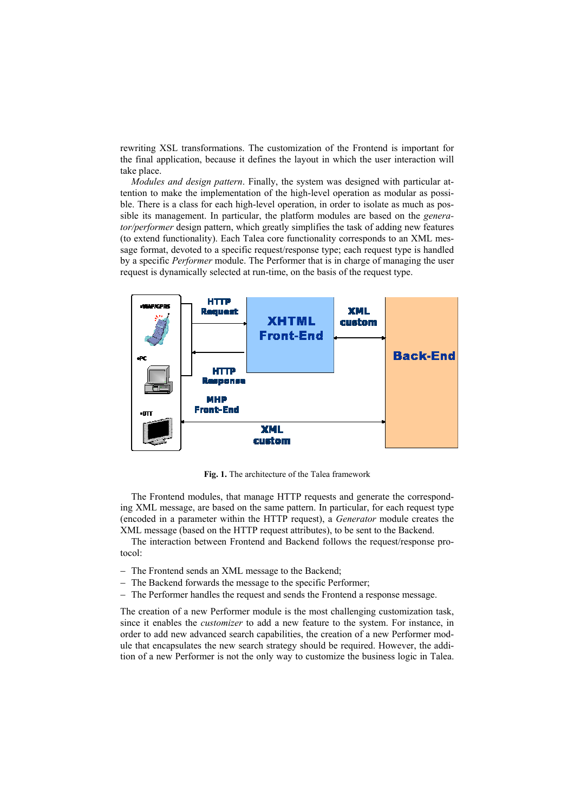rewriting XSL transformations. The customization of the Frontend is important for the final application, because it defines the layout in which the user interaction will take place.

*Modules and design pattern*. Finally, the system was designed with particular attention to make the implementation of the high-level operation as modular as possible. There is a class for each high-level operation, in order to isolate as much as possible its management. In particular, the platform modules are based on the *generator/performer* design pattern, which greatly simplifies the task of adding new features (to extend functionality). Each Talea core functionality corresponds to an XML message format, devoted to a specific request/response type; each request type is handled by a specific *Performer* module. The Performer that is in charge of managing the user request is dynamically selected at run-time, on the basis of the request type.



**Fig. 1.** The architecture of the Talea framework

The Frontend modules, that manage HTTP requests and generate the corresponding XML message, are based on the same pattern. In particular, for each request type (encoded in a parameter within the HTTP request), a *Generator* module creates the XML message (based on the HTTP request attributes), to be sent to the Backend.

The interaction between Frontend and Backend follows the request/response protocol:

- − The Frontend sends an XML message to the Backend;
- − The Backend forwards the message to the specific Performer;
- − The Performer handles the request and sends the Frontend a response message.

The creation of a new Performer module is the most challenging customization task, since it enables the *customizer* to add a new feature to the system. For instance, in order to add new advanced search capabilities, the creation of a new Performer module that encapsulates the new search strategy should be required. However, the addition of a new Performer is not the only way to customize the business logic in Talea.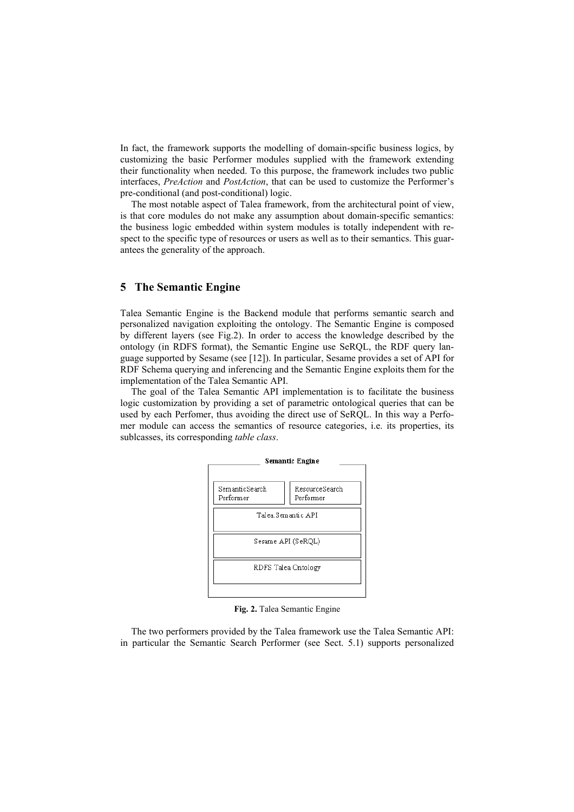In fact, the framework supports the modelling of domain-spcific business logics, by customizing the basic Performer modules supplied with the framework extending their functionality when needed. To this purpose, the framework includes two public interfaces, *PreAction* and *PostAction*, that can be used to customize the Performer's pre-conditional (and post-conditional) logic.

The most notable aspect of Talea framework, from the architectural point of view, is that core modules do not make any assumption about domain-specific semantics: the business logic embedded within system modules is totally independent with respect to the specific type of resources or users as well as to their semantics. This guarantees the generality of the approach.

# **5 The Semantic Engine**

Talea Semantic Engine is the Backend module that performs semantic search and personalized navigation exploiting the ontology. The Semantic Engine is composed by different layers (see Fig.2). In order to access the knowledge described by the ontology (in RDFS format), the Semantic Engine use SeRQL, the RDF query language supported by Sesame (see [12]). In particular, Sesame provides a set of API for RDF Schema querying and inferencing and the Semantic Engine exploits them for the implementation of the Talea Semantic API.

The goal of the Talea Semantic API implementation is to facilitate the business logic customization by providing a set of parametric ontological queries that can be used by each Perfomer, thus avoiding the direct use of SeRQL. In this way a Perfomer module can access the semantics of resource categories, i.e. its properties, its sublcasses, its corresponding *table class*.



**Fig. 2.** Talea Semantic Engine

The two performers provided by the Talea framework use the Talea Semantic API: in particular the Semantic Search Performer (see Sect. 5.1) supports personalized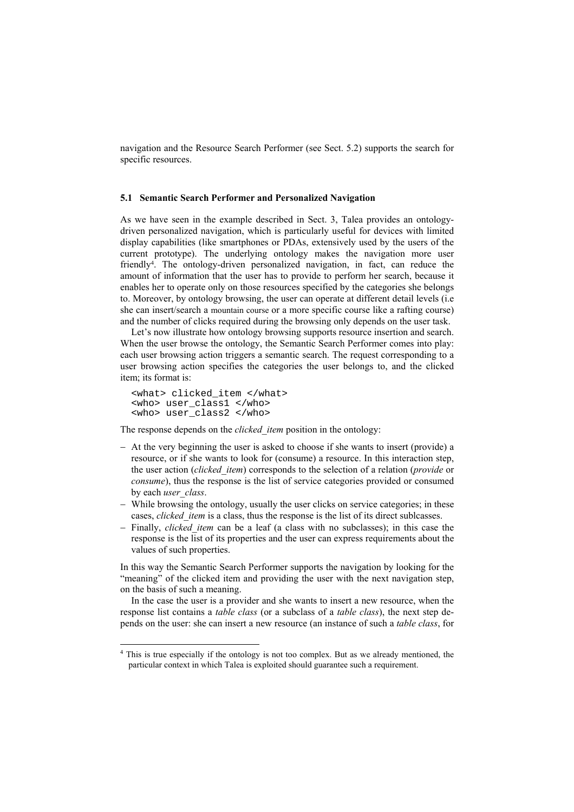navigation and the Resource Search Performer (see Sect. 5.2) supports the search for specific resources.

#### **5.1 Semantic Search Performer and Personalized Navigation**

As we have seen in the example described in Sect. 3, Talea provides an ontologydriven personalized navigation, which is particularly useful for devices with limited display capabilities (like smartphones or PDAs, extensively used by the users of the current prototype). The underlying ontology makes the navigation more user friendly4. The ontology-driven personalized navigation, in fact, can reduce the amount of information that the user has to provide to perform her search, because it enables her to operate only on those resources specified by the categories she belongs to. Moreover, by ontology browsing, the user can operate at different detail levels (i.e she can insert/search a mountain course or a more specific course like a rafting course) and the number of clicks required during the browsing only depends on the user task.

Let's now illustrate how ontology browsing supports resource insertion and search. When the user browse the ontology, the Semantic Search Performer comes into play: each user browsing action triggers a semantic search. The request corresponding to a user browsing action specifies the categories the user belongs to, and the clicked item; its format is:

```
<what> clicked_item </what> 
<who> user_class1 </who> 
<who> user_class2 </who>
```
l

The response depends on the *clicked\_item* position in the ontology:

- − At the very beginning the user is asked to choose if she wants to insert (provide) a resource, or if she wants to look for (consume) a resource. In this interaction step, the user action (*clicked\_item*) corresponds to the selection of a relation (*provide* or *consume*), thus the response is the list of service categories provided or consumed by each *user\_class*.
- − While browsing the ontology, usually the user clicks on service categories; in these cases, *clicked item* is a class, thus the response is the list of its direct sublcasses.
- − Finally, *clicked\_item* can be a leaf (a class with no subclasses); in this case the response is the list of its properties and the user can express requirements about the values of such properties.

In this way the Semantic Search Performer supports the navigation by looking for the "meaning" of the clicked item and providing the user with the next navigation step, on the basis of such a meaning.

In the case the user is a provider and she wants to insert a new resource, when the response list contains a *table class* (or a subclass of a *table class*), the next step depends on the user: she can insert a new resource (an instance of such a *table class*, for

<sup>4</sup> This is true especially if the ontology is not too complex. But as we already mentioned, the particular context in which Talea is exploited should guarantee such a requirement.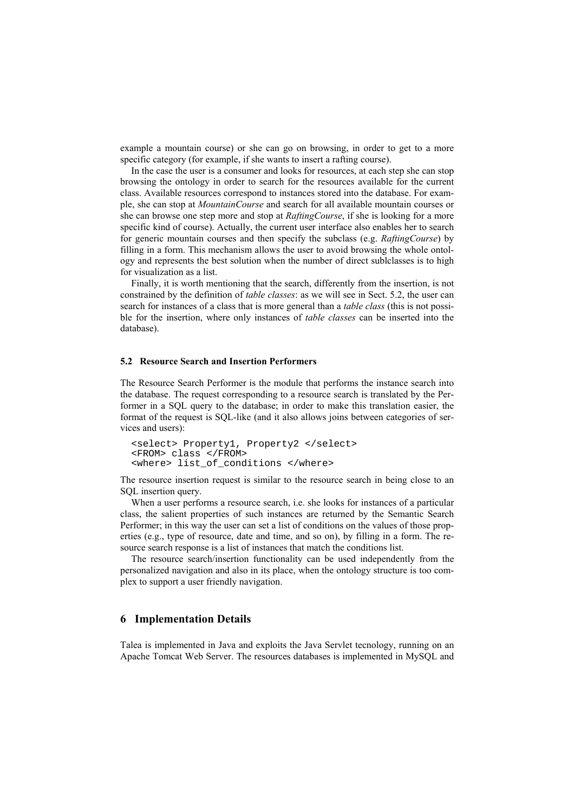example a mountain course) or she can go on browsing, in order to get to a more specific category (for example, if she wants to insert a rafting course).

In the case the user is a consumer and looks for resources, at each step she can stop browsing the ontology in order to search for the resources available for the current class. Available resources correspond to instances stored into the database. For example, she can stop at *MountainCourse* and search for all available mountain courses or she can browse one step more and stop at *RaftingCourse*, if she is looking for a more specific kind of course). Actually, the current user interface also enables her to search for generic mountain courses and then specify the subclass (e.g. *RaftingCourse*) by filling in a form. This mechanism allows the user to avoid browsing the whole ontology and represents the best solution when the number of direct sublclasses is to high for visualization as a list.

Finally, it is worth mentioning that the search, differently from the insertion, is not constrained by the definition of *table classes*: as we will see in Sect. 5.2, the user can search for instances of a class that is more general than a *table class* (this is not possible for the insertion, where only instances of *table classes* can be inserted into the database).

#### **5.2 Resource Search and Insertion Performers**

The Resource Search Performer is the module that performs the instance search into the database. The request corresponding to a resource search is translated by the Performer in a SQL query to the database; in order to make this translation easier, the format of the request is SQL-like (and it also allows joins between categories of services and users):

```
<select> Property1, Property2 </select> 
<FROM> class </FROM> 
<where> list_of_conditions </where>
```
The resource insertion request is similar to the resource search in being close to an SQL insertion query.

When a user performs a resource search, i.e. she looks for instances of a particular class, the salient properties of such instances are returned by the Semantic Search Performer; in this way the user can set a list of conditions on the values of those properties (e.g., type of resource, date and time, and so on), by filling in a form. The resource search response is a list of instances that match the conditions list.

The resource search/insertion functionality can be used independently from the personalized navigation and also in its place, when the ontology structure is too complex to support a user friendly navigation.

# **6 Implementation Details**

Talea is implemented in Java and exploits the Java Servlet tecnology, running on an Apache Tomcat Web Server. The resources databases is implemented in MySQL and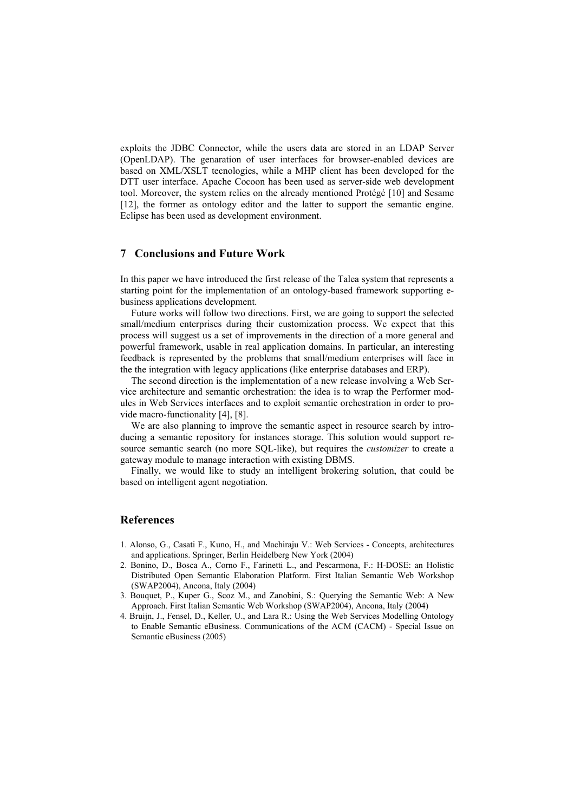exploits the JDBC Connector, while the users data are stored in an LDAP Server (OpenLDAP). The genaration of user interfaces for browser-enabled devices are based on XML/XSLT tecnologies, while a MHP client has been developed for the DTT user interface. Apache Cocoon has been used as server-side web development tool. Moreover, the system relies on the already mentioned Protégé [10] and Sesame [12], the former as ontology editor and the latter to support the semantic engine. Eclipse has been used as development environment.

# **7 Conclusions and Future Work**

In this paper we have introduced the first release of the Talea system that represents a starting point for the implementation of an ontology-based framework supporting ebusiness applications development.

Future works will follow two directions. First, we are going to support the selected small/medium enterprises during their customization process. We expect that this process will suggest us a set of improvements in the direction of a more general and powerful framework, usable in real application domains. In particular, an interesting feedback is represented by the problems that small/medium enterprises will face in the the integration with legacy applications (like enterprise databases and ERP).

The second direction is the implementation of a new release involving a Web Service architecture and semantic orchestration: the idea is to wrap the Performer modules in Web Services interfaces and to exploit semantic orchestration in order to provide macro-functionality [4], [8].

We are also planning to improve the semantic aspect in resource search by introducing a semantic repository for instances storage. This solution would support resource semantic search (no more SQL-like), but requires the *customizer* to create a gateway module to manage interaction with existing DBMS.

Finally, we would like to study an intelligent brokering solution, that could be based on intelligent agent negotiation.

## **References**

- 1. Alonso, G., Casati F., Kuno, H., and Machiraju V.: Web Services Concepts, architectures and applications. Springer, Berlin Heidelberg New York (2004)
- 2. Bonino, D., Bosca A., Corno F., Farinetti L., and Pescarmona, F.: H-DOSE: an Holistic Distributed Open Semantic Elaboration Platform. First Italian Semantic Web Workshop (SWAP2004), Ancona, Italy (2004)
- 3. Bouquet, P., Kuper G., Scoz M., and Zanobini, S.: Querying the Semantic Web: A New Approach. First Italian Semantic Web Workshop (SWAP2004), Ancona, Italy (2004)
- 4. Bruijn, J., Fensel, D., Keller, U., and Lara R.: Using the Web Services Modelling Ontology to Enable Semantic eBusiness. Communications of the ACM (CACM) - Special Issue on Semantic eBusiness (2005)